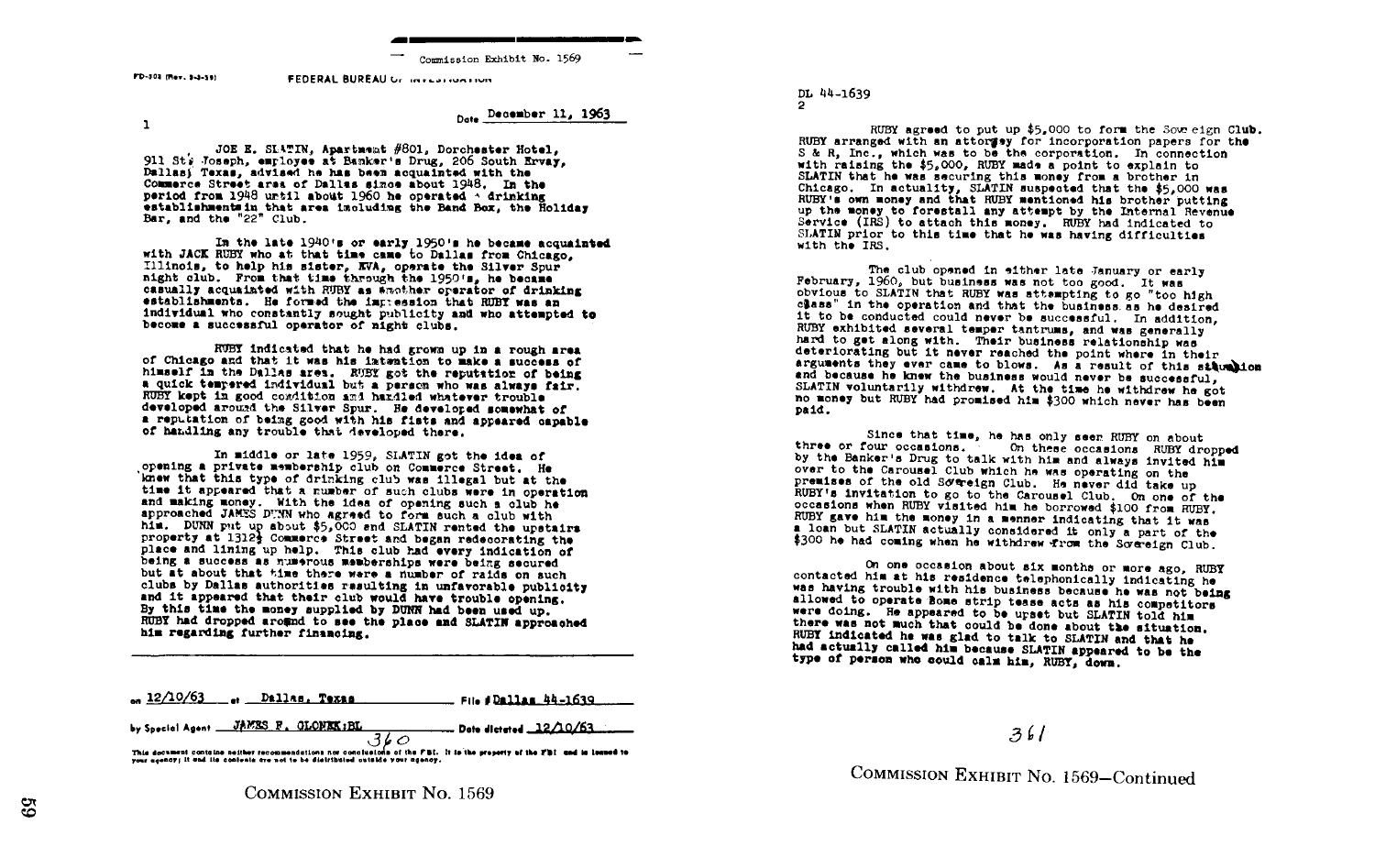Commission Exhibit No. 1569

PD-303 (Rev. 3-3-39)

FEDERAL BUREAU OF INTERFIELD

 $\mathbf{1}$ 

Date December 11, 1963

JOE E. SLATIN. Apartment #801. Dorchester Hotel. 911 St's Joseph, employee at Banker's Drug, 206 South Ervay, Dallasi Texas, advised he has been acquainted with the Commerce Street area of Dallas since about 1948. In the period from 1948 until about 1960 he operated  $\land$  drinking establishments in that area imcluding the Band Box, the Holiday Bar. and the "22" Club.

In the late 1940's or early 1950's he became acquainted with JACK RUBY who at that time came to Dallas from Chicago. Illinois, to help his sister, EVA, operate the Silver Spur night club. From that time through the 1950's, he became casually acquainted with RUBY as whother operator of drinking establishments. He formed the increasion that RUBY was an individual who constantly sought publicity and who attempted to become a successful operator of night clubs.

RUBY indicated that he had grown up in a rough area of Chicago and that it was his intention to make a success of himself in the Dallas area. RUBY got the reputation of being a quick tempered individual but a person who was always fair. RUBY kept in good condition and hazdled whatever trouble developed around the Silver Spur. He developed somewhat of a reputation of being good with his fists and appeared capable of handling any trouble that developed there.

In middle or late 1959, SLATIN got the idea of opening a private membership club on Commerce Street. He knew that this type of drinking club was illegal but at the time it appeared that a number of such clubs were in operation and making money. With the idea of opening such a club he approached JAMES DUNN who agreed to form such a club with him. DUNN put up about \$5,000 and SLATIN rented the upstairs property at 1312} Commerce Street and began redecorating the place and lining up help. This club had every indication of being a success as numerous memberships were being secured but at about that time there were a number of raids on such clubs by Dallas authorities resulting in unfavorable publicity and it appeared that their club would have trouble opening. By this time the money supplied by DUNN had been used up. RUBY had dropped around to see the place and SLATIN approached him regarding further financing.

 $-12/10/63$ 

by Special Agent JAMES F. GLONEK: BL.  $-$  Date dictated  $.12/\!\!\:0/\!\!\:63$  $.360$ 

This document contains notther recommendations nor conclusions of the FBI. It is the property of the FBI and is leased to<br>your agency; it and its contents are not to be distributed outside your agency.

DL 44-1639 ø

RUBY agreed to put up \$5,000 to form the Sow eign Club. RUBY arranged with an attormay for incorporation papers for the S & R. Inc., which was to be the corporation. In connection with raising the \$5,000. RUBY made a point to explain to SLATIN that he was securing this money from a brother in Chicago. In actuality, SLATIN suspected that the \$5.000 was RUBY's own money and that RUBY mentioned his brother putting up the money to forestall any attempt by the Internal Revenue Service (IRS) to attach this money. RUBY had indicated to SLATIN prior to this time that he was having difficulties with the IRS.

The club opened in either late January or early February, 1960, but business was not too good. It was obvious to SLATIN that RUBY was attempting to go "too high class" in the operation and that the business as he desired it to be conducted could never be successful. In addition. RUBY exhibited several temper tantrums, and was generally hard to get along with. Their business relationship was deteriorating but it never reached the point where in their arguments they ever came to blows. As a result of this stumbion and because he knew the business would never be successful. SLATIN voluntarily withdrew. At the time he withdrew he got no money but RUBY had promised him \$300 which never has been paid.

Since that time, he has only seen RUBY on about three or four occasions. On these occasions RUBY dropped by the Banker's Drug to talk with him and always invited him over to the Carousel Club which he was operating on the premises of the old Sovereign Club. He never did take up RUBY's invitation to go to the Carousel Club. On one of the occasions when RUBY visited him he borrowed \$100 from RUBY. RUBY gave him the money in a menner indicating that it was a loan but SLATIN actually considered it only a part of the \$300 he had coming when he withdrew from the Sovereign Club.

On one occasion about six months or more ago, RUBY contacted him at his residence telephonically indicating he was having trouble with his business because he was not being allowed to operate Bome strip tease acts as his competitors were doing. He appeared to be upset but SLATIN told him there was not much that could be done about the situation. RUBY indicated he was glad to talk to SLATIN and that he had actually called him because SLATIN appeared to be the type of person who could calm him. RUBY, down.

 $361$ 

COMMISSION EXHIBIT No. 1569-Continued

**COMMISSION EXHIBIT NO. 1569**